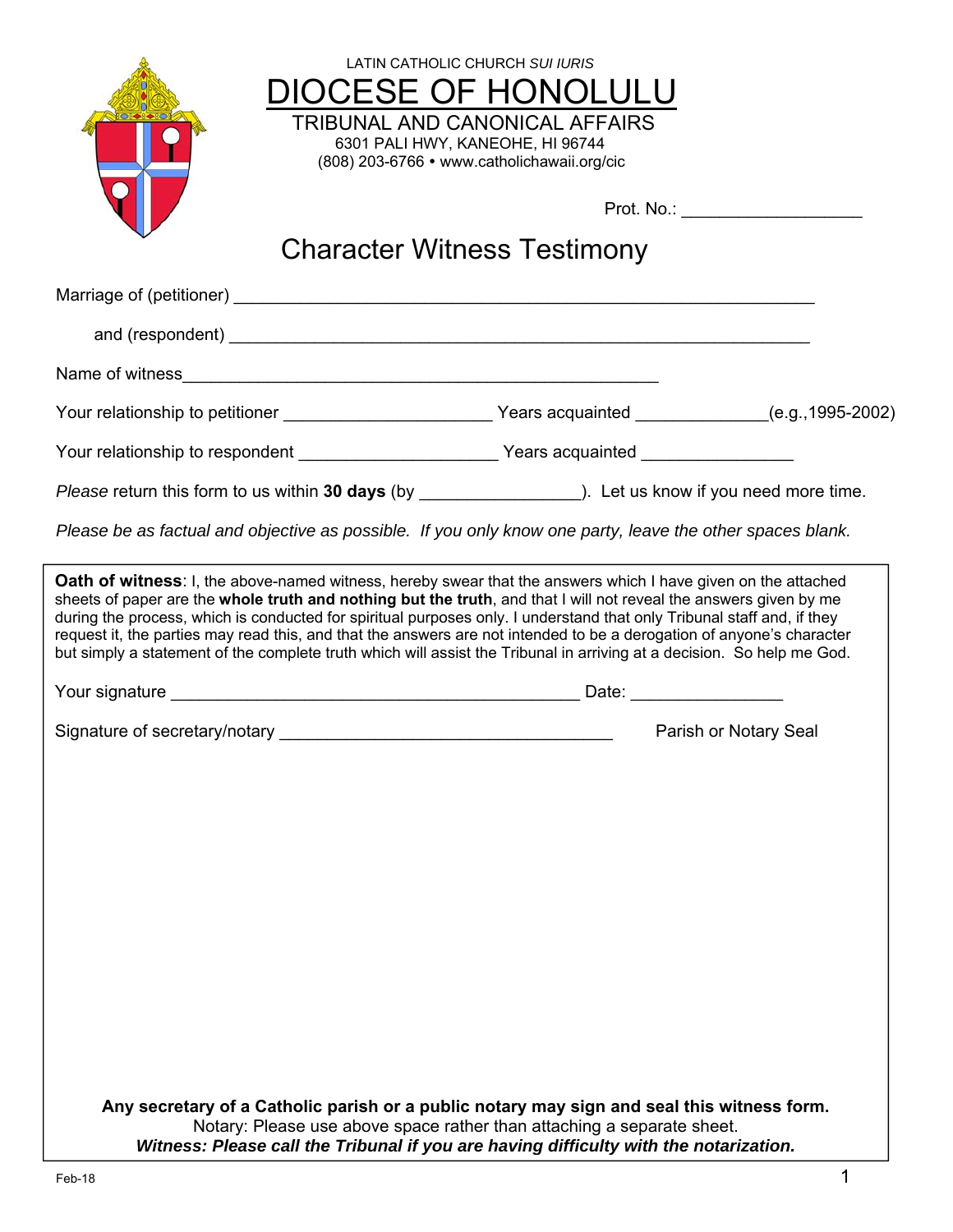| LATIN CATHOLIC CHURCH SUI IURIS<br>6301 PALI HWY, KANEOHE, HI 96744<br>(808) 203-6766 • www.catholichawaii.org/cic                                                                                                                                                                                                                                                                                                                                                                                                                                                                                                     | DIOCESE OF HONOLULU<br>TRIBUNAL AND CANONICAL AFFAIRS | Prot. No.: ____________________ |
|------------------------------------------------------------------------------------------------------------------------------------------------------------------------------------------------------------------------------------------------------------------------------------------------------------------------------------------------------------------------------------------------------------------------------------------------------------------------------------------------------------------------------------------------------------------------------------------------------------------------|-------------------------------------------------------|---------------------------------|
| <b>Character Witness Testimony</b>                                                                                                                                                                                                                                                                                                                                                                                                                                                                                                                                                                                     |                                                       |                                 |
|                                                                                                                                                                                                                                                                                                                                                                                                                                                                                                                                                                                                                        |                                                       |                                 |
|                                                                                                                                                                                                                                                                                                                                                                                                                                                                                                                                                                                                                        |                                                       |                                 |
|                                                                                                                                                                                                                                                                                                                                                                                                                                                                                                                                                                                                                        |                                                       |                                 |
|                                                                                                                                                                                                                                                                                                                                                                                                                                                                                                                                                                                                                        |                                                       |                                 |
| Your relationship to respondent ________________________Years acquainted ______________                                                                                                                                                                                                                                                                                                                                                                                                                                                                                                                                |                                                       |                                 |
|                                                                                                                                                                                                                                                                                                                                                                                                                                                                                                                                                                                                                        |                                                       |                                 |
| Please be as factual and objective as possible. If you only know one party, leave the other spaces blank.                                                                                                                                                                                                                                                                                                                                                                                                                                                                                                              |                                                       |                                 |
| <b>Oath of witness:</b> I, the above-named witness, hereby swear that the answers which I have given on the attached<br>sheets of paper are the whole truth and nothing but the truth, and that I will not reveal the answers given by me<br>during the process, which is conducted for spiritual purposes only. I understand that only Tribunal staff and, if they<br>request it, the parties may read this, and that the answers are not intended to be a derogation of anyone's character<br>but simply a statement of the complete truth which will assist the Tribunal in arriving at a decision. So help me God. |                                                       |                                 |
|                                                                                                                                                                                                                                                                                                                                                                                                                                                                                                                                                                                                                        |                                                       |                                 |
| Signature of secretary/notary                                                                                                                                                                                                                                                                                                                                                                                                                                                                                                                                                                                          |                                                       | Parish or Notary Seal           |
|                                                                                                                                                                                                                                                                                                                                                                                                                                                                                                                                                                                                                        |                                                       |                                 |
| Any secretary of a Catholic parish or a public notary may sign and seal this witness form.<br>Notary: Please use above space rather than attaching a separate sheet.<br>Witness: Please call the Tribunal if you are having difficulty with the notarization.                                                                                                                                                                                                                                                                                                                                                          |                                                       |                                 |